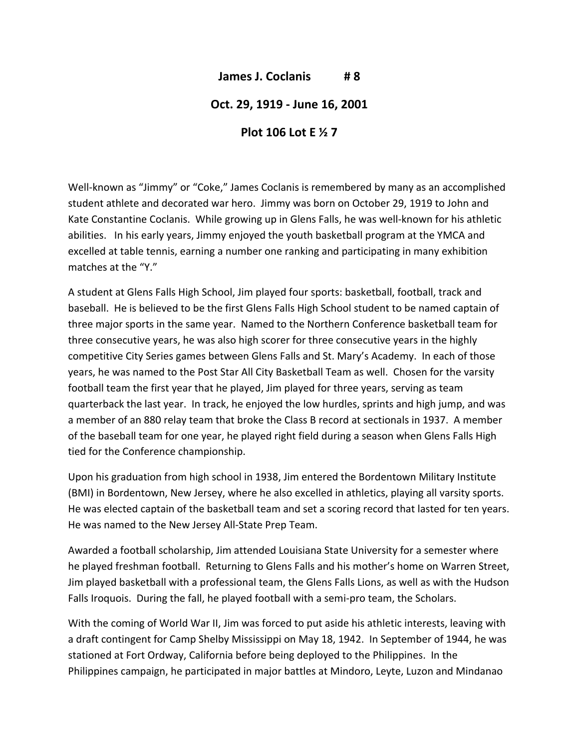## **James J. Coclanis # 8**

## **Oct. 29, 1919 ‐ June 16, 2001**

## **Plot 106 Lot E ½ 7**

Well-known as "Jimmy" or "Coke," James Coclanis is remembered by many as an accomplished student athlete and decorated war hero. Jimmy was born on October 29, 1919 to John and Kate Constantine Coclanis. While growing up in Glens Falls, he was well-known for his athletic abilities. In his early years, Jimmy enjoyed the youth basketball program at the YMCA and excelled at table tennis, earning a number one ranking and participating in many exhibition matches at the "Y."

A student at Glens Falls High School, Jim played four sports: basketball, football, track and baseball. He is believed to be the first Glens Falls High School student to be named captain of three major sports in the same year. Named to the Northern Conference basketball team for three consecutive years, he was also high scorer for three consecutive years in the highly competitive City Series games between Glens Falls and St. Mary's Academy. In each of those years, he was named to the Post Star All City Basketball Team as well. Chosen for the varsity football team the first year that he played, Jim played for three years, serving as team quarterback the last year. In track, he enjoyed the low hurdles, sprints and high jump, and was a member of an 880 relay team that broke the Class B record at sectionals in 1937. A member of the baseball team for one year, he played right field during a season when Glens Falls High tied for the Conference championship.

Upon his graduation from high school in 1938, Jim entered the Bordentown Military Institute (BMI) in Bordentown, New Jersey, where he also excelled in athletics, playing all varsity sports. He was elected captain of the basketball team and set a scoring record that lasted for ten years. He was named to the New Jersey All‐State Prep Team.

Awarded a football scholarship, Jim attended Louisiana State University for a semester where he played freshman football. Returning to Glens Falls and his mother's home on Warren Street, Jim played basketball with a professional team, the Glens Falls Lions, as well as with the Hudson Falls Iroquois. During the fall, he played football with a semi-pro team, the Scholars.

With the coming of World War II, Jim was forced to put aside his athletic interests, leaving with a draft contingent for Camp Shelby Mississippi on May 18, 1942. In September of 1944, he was stationed at Fort Ordway, California before being deployed to the Philippines. In the Philippines campaign, he participated in major battles at Mindoro, Leyte, Luzon and Mindanao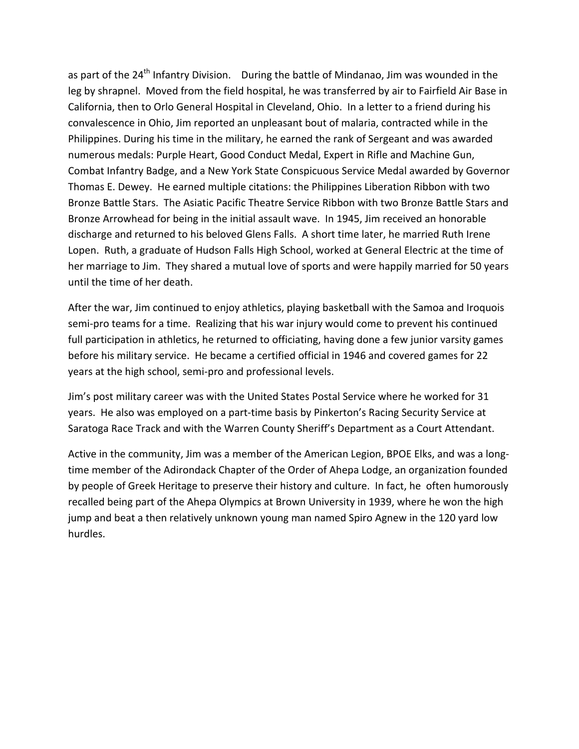as part of the  $24<sup>th</sup>$  Infantry Division. During the battle of Mindanao, Jim was wounded in the leg by shrapnel. Moved from the field hospital, he was transferred by air to Fairfield Air Base in California, then to Orlo General Hospital in Cleveland, Ohio. In a letter to a friend during his convalescence in Ohio, Jim reported an unpleasant bout of malaria, contracted while in the Philippines. During his time in the military, he earned the rank of Sergeant and was awarded numerous medals: Purple Heart, Good Conduct Medal, Expert in Rifle and Machine Gun, Combat Infantry Badge, and a New York State Conspicuous Service Medal awarded by Governor Thomas E. Dewey. He earned multiple citations: the Philippines Liberation Ribbon with two Bronze Battle Stars. The Asiatic Pacific Theatre Service Ribbon with two Bronze Battle Stars and Bronze Arrowhead for being in the initial assault wave. In 1945, Jim received an honorable discharge and returned to his beloved Glens Falls. A short time later, he married Ruth Irene Lopen. Ruth, a graduate of Hudson Falls High School, worked at General Electric at the time of her marriage to Jim. They shared a mutual love of sports and were happily married for 50 years until the time of her death.

After the war, Jim continued to enjoy athletics, playing basketball with the Samoa and Iroquois semi‐pro teams for a time. Realizing that his war injury would come to prevent his continued full participation in athletics, he returned to officiating, having done a few junior varsity games before his military service. He became a certified official in 1946 and covered games for 22 years at the high school, semi‐pro and professional levels.

Jim's post military career was with the United States Postal Service where he worked for 31 years. He also was employed on a part‐time basis by Pinkerton's Racing Security Service at Saratoga Race Track and with the Warren County Sheriff's Department as a Court Attendant.

Active in the community, Jim was a member of the American Legion, BPOE Elks, and was a long‐ time member of the Adirondack Chapter of the Order of Ahepa Lodge, an organization founded by people of Greek Heritage to preserve their history and culture. In fact, he often humorously recalled being part of the Ahepa Olympics at Brown University in 1939, where he won the high jump and beat a then relatively unknown young man named Spiro Agnew in the 120 yard low hurdles.